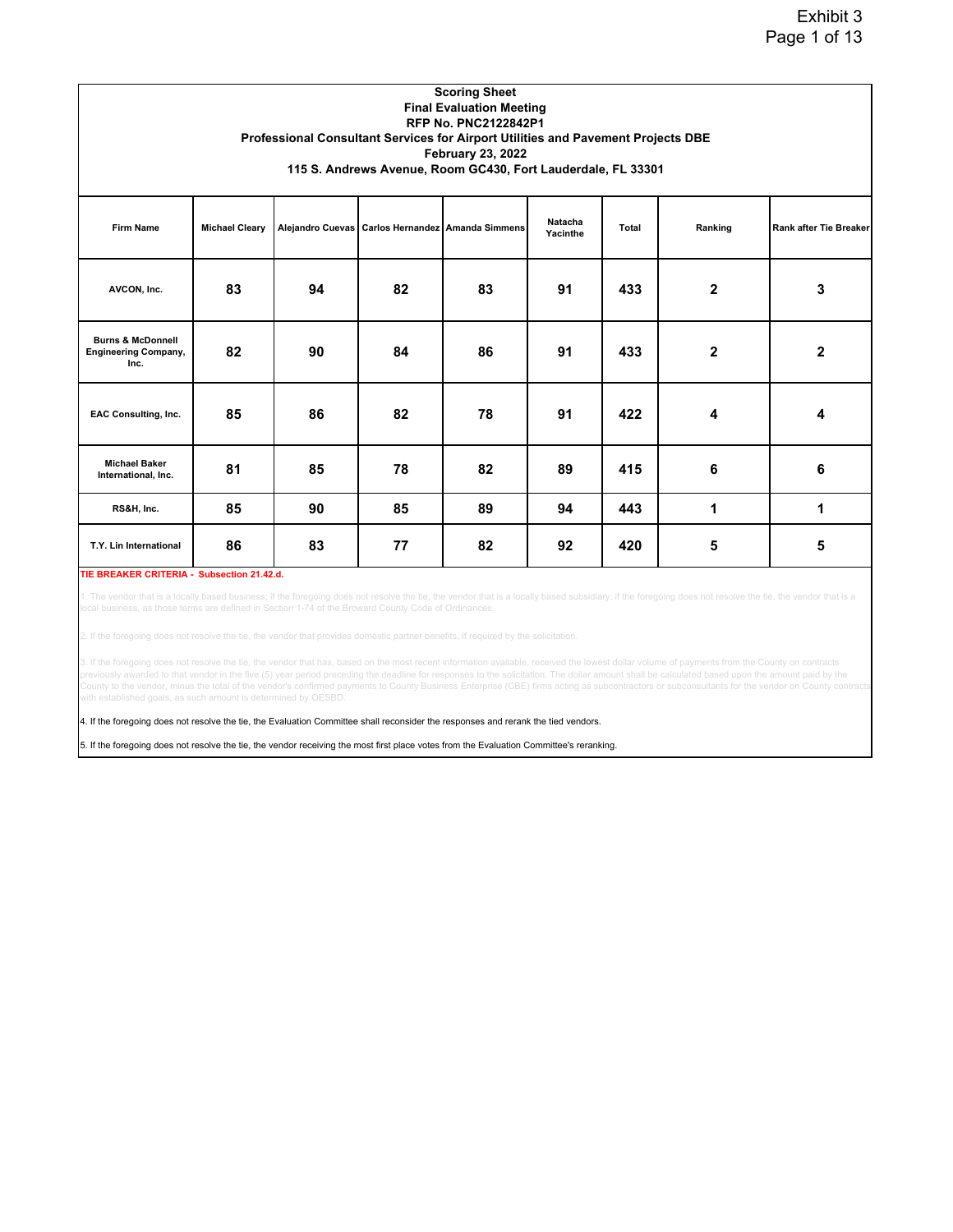|                                                                     |                       |    |    | <b>Scoring Sheet</b><br><b>Final Evaluation Meeting</b><br><b>RFP No. PNC2122842P1</b><br>Professional Consultant Services for Airport Utilities and Pavement Projects DBE |                     |       |                |                        |
|---------------------------------------------------------------------|-----------------------|----|----|----------------------------------------------------------------------------------------------------------------------------------------------------------------------------|---------------------|-------|----------------|------------------------|
|                                                                     |                       |    |    | <b>February 23, 2022</b><br>115 S. Andrews Avenue, Room GC430, Fort Lauderdale, FL 33301                                                                                   |                     |       |                |                        |
| <b>Firm Name</b>                                                    | <b>Michael Cleary</b> |    |    | Alejandro Cuevas   Carlos Hernandez   Amanda Simmens                                                                                                                       | Natacha<br>Yacinthe | Total | Ranking        | Rank after Tie Breaker |
| AVCON, Inc.                                                         | 83                    | 94 | 82 | 83                                                                                                                                                                         | 91                  | 433   | $\overline{2}$ | 3                      |
| <b>Burns &amp; McDonnell</b><br><b>Engineering Company,</b><br>Inc. | 82                    | 90 | 84 | 86                                                                                                                                                                         | 91                  | 433   | $\mathbf{2}$   | $\mathbf{2}$           |
| <b>EAC Consulting, Inc.</b>                                         | 85                    | 86 | 82 | 78                                                                                                                                                                         | 91                  | 422   | 4              | 4                      |
| <b>Michael Baker</b><br>International, Inc.                         | 81                    | 85 | 78 | 82                                                                                                                                                                         | 89                  | 415   | 6              | 6                      |
| RS&H, Inc.                                                          | 85                    | 90 | 85 | 89                                                                                                                                                                         | 94                  | 443   | 1              | 1                      |
| T.Y. Lin International                                              | 86                    | 83 | 77 | 82                                                                                                                                                                         | 92                  | 420   | 5              | 5                      |

## **TIE BREAKER CRITERIA - Subsection 21.42.d.**

1. The vendor that is a locally based business; if the foregoing does not resolve the tie, the wendor that is a locally based subsidiary; if the foregoing does not resolve the tie, the vendor that is a<br>local business, as t

2. If the foregoing does not resolve the tie, the vendor that provides domestic partner benefits, if required by the solicitation.

3. If the foregoing does not resolve the tie, the vendor that has, based on the most recent information available, received the lowest dollar volume of payments from the County on contracts<br>previously awarded to that vendo ounty to the vendor, minus the total of the vendor's confirmed payments to County Business Enterprise (CBE) firms acting as subcontractors or subconsultants for the vendor on County cont ith established goals, as such amount is determined by OESBD.

4. If the foregoing does not resolve the tie, the Evaluation Committee shall reconsider the responses and rerank the tied vendors.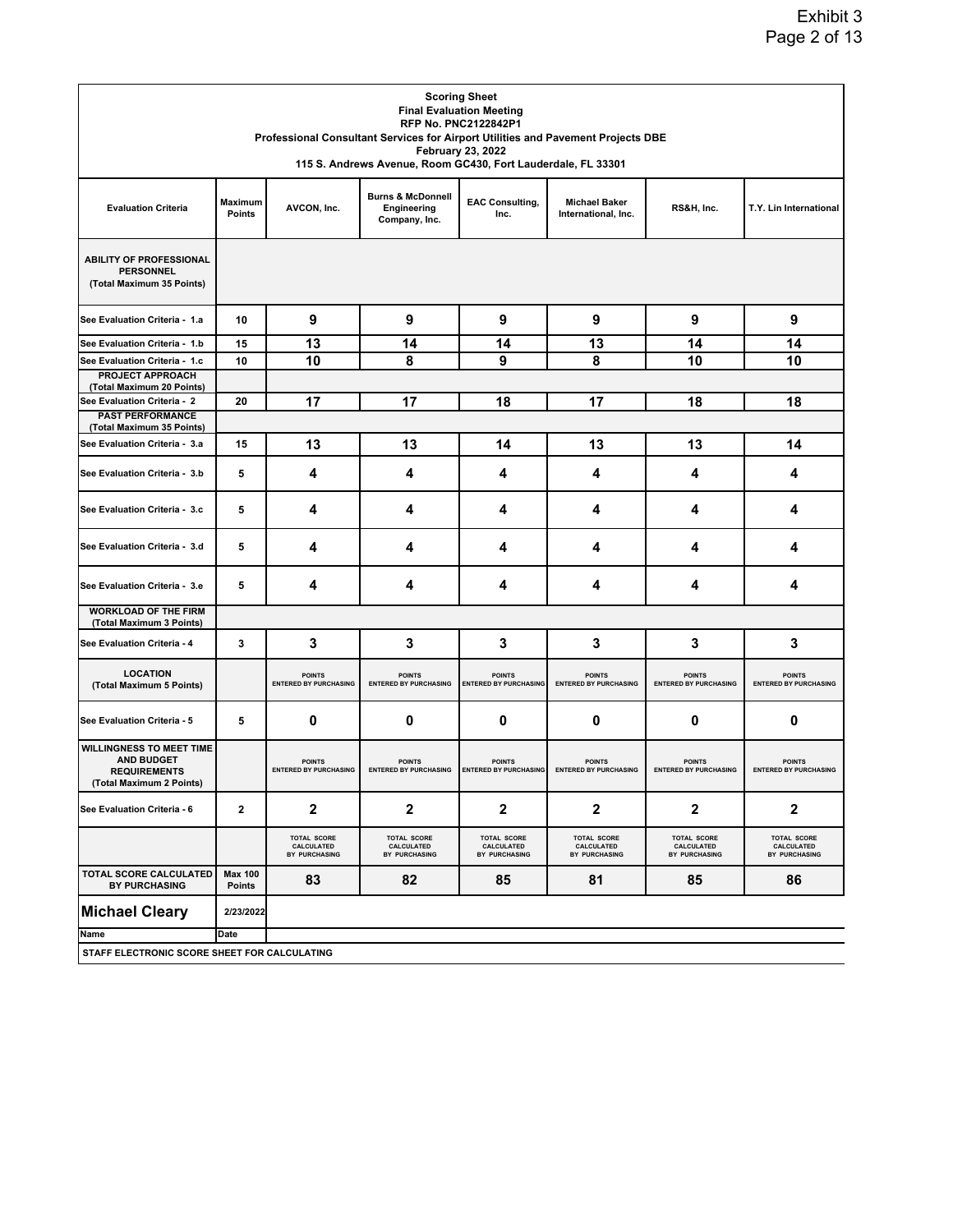|                                                                                                         |                          |                                                   | 115 S. Andrews Avenue, Room GC430, Fort Lauderdale, FL 33301 | <b>Scoring Sheet</b><br><b>Final Evaluation Meeting</b><br><b>RFP No. PNC2122842P1</b><br><b>February 23, 2022</b> | Professional Consultant Services for Airport Utilities and Pavement Projects DBE |                                                   |                                                   |
|---------------------------------------------------------------------------------------------------------|--------------------------|---------------------------------------------------|--------------------------------------------------------------|--------------------------------------------------------------------------------------------------------------------|----------------------------------------------------------------------------------|---------------------------------------------------|---------------------------------------------------|
| <b>Evaluation Criteria</b>                                                                              | <b>Maximum</b><br>Points | AVCON, Inc.                                       | <b>Burns &amp; McDonnell</b><br>Engineering<br>Company, Inc. | <b>EAC Consulting,</b><br>Inc.                                                                                     | <b>Michael Baker</b><br>International, Inc.                                      | RS&H, Inc.                                        | T.Y. Lin International                            |
| <b>ABILITY OF PROFESSIONAL</b><br><b>PERSONNEL</b><br>(Total Maximum 35 Points)                         |                          |                                                   |                                                              |                                                                                                                    |                                                                                  |                                                   |                                                   |
| See Evaluation Criteria - 1.a                                                                           | 10                       | 9                                                 | 9                                                            | 9                                                                                                                  | 9                                                                                | 9                                                 | 9                                                 |
| See Evaluation Criteria - 1.b                                                                           | 15                       | 13                                                | 14                                                           | 14                                                                                                                 | 13                                                                               | 14                                                | 14                                                |
| See Evaluation Criteria - 1.c                                                                           | 10                       | 10                                                | 8                                                            | 9                                                                                                                  | 8                                                                                | 10                                                | 10                                                |
| <b>PROJECT APPROACH</b><br>(Total Maximum 20 Points)                                                    |                          |                                                   |                                                              |                                                                                                                    |                                                                                  |                                                   |                                                   |
| See Evaluation Criteria - 2                                                                             | 20                       | 17                                                | 17                                                           | 18                                                                                                                 | 17                                                                               | 18                                                | 18                                                |
| <b>PAST PERFORMANCE</b><br>(Total Maximum 35 Points)                                                    |                          |                                                   |                                                              |                                                                                                                    |                                                                                  |                                                   |                                                   |
| See Evaluation Criteria - 3.a                                                                           | 15                       | 13                                                | 13                                                           | 14                                                                                                                 | 13                                                                               | 13                                                | 14                                                |
| See Evaluation Criteria - 3.b                                                                           | 5                        | 4                                                 | 4                                                            | 4                                                                                                                  | 4                                                                                | 4                                                 | 4                                                 |
| See Evaluation Criteria - 3.c                                                                           | 5                        | 4                                                 | 4                                                            | 4                                                                                                                  | 4                                                                                | 4                                                 | 4                                                 |
| See Evaluation Criteria - 3.d                                                                           | 5                        | 4                                                 | 4                                                            | 4                                                                                                                  | 4                                                                                | 4                                                 | 4                                                 |
| See Evaluation Criteria - 3.e                                                                           | 5                        | 4                                                 | 4                                                            | 4                                                                                                                  | 4                                                                                | 4                                                 | 4                                                 |
| <b>WORKLOAD OF THE FIRM</b><br>(Total Maximum 3 Points)                                                 |                          |                                                   |                                                              |                                                                                                                    |                                                                                  |                                                   |                                                   |
| See Evaluation Criteria - 4                                                                             | 3                        | 3                                                 | 3                                                            | 3                                                                                                                  | 3                                                                                | 3                                                 | 3                                                 |
| <b>LOCATION</b><br>(Total Maximum 5 Points)                                                             |                          | <b>POINTS</b><br><b>ENTERED BY PURCHASING</b>     | <b>POINTS</b><br><b>ENTERED BY PURCHASING</b>                | <b>POINTS</b><br><b>ENTERED BY PURCHASING</b>                                                                      | <b>POINTS</b><br><b>ENTERED BY PURCHASING</b>                                    | <b>POINTS</b><br><b>ENTERED BY PURCHASING</b>     | <b>POINTS</b><br><b>ENTERED BY PURCHASING</b>     |
| See Evaluation Criteria - 5                                                                             | 5                        | 0                                                 | 0                                                            | 0                                                                                                                  | 0                                                                                | 0                                                 | 0                                                 |
| <b>WILLINGNESS TO MEET TIME</b><br><b>AND BUDGET</b><br><b>REQUIREMENTS</b><br>(Total Maximum 2 Points) |                          | <b>POINTS</b><br><b>ENTERED BY PURCHASING</b>     | <b>POINTS</b><br><b>ENTERED BY PURCHASING</b>                | <b>POINTS</b><br><b>ENTERED BY PURCHASING</b>                                                                      | <b>POINTS</b><br><b>ENTERED BY PURCHASING</b>                                    | <b>POINTS</b><br><b>ENTERED BY PURCHASING</b>     | <b>POINTS</b><br><b>ENTERED BY PURCHASING</b>     |
| See Evaluation Criteria - 6                                                                             | 2                        | 2                                                 | $\boldsymbol{2}$                                             | $\mathbf{2}$                                                                                                       | 2                                                                                | 2                                                 | 2                                                 |
|                                                                                                         |                          | <b>TOTAL SCORE</b><br>CALCULATED<br>BY PURCHASING | <b>TOTAL SCORE</b><br>CALCULATED<br>BY PURCHASING            | <b>TOTAL SCORE</b><br>CALCULATED<br>BY PURCHASING                                                                  | <b>TOTAL SCORE</b><br>CALCULATED<br>BY PURCHASING                                | <b>TOTAL SCORE</b><br>CALCULATED<br>BY PURCHASING | <b>TOTAL SCORE</b><br>CALCULATED<br>BY PURCHASING |
| TOTAL SCORE CALCULATED<br><b>BY PURCHASING</b>                                                          | <b>Max 100</b><br>Points | 83                                                | 82                                                           | 85                                                                                                                 | 81                                                                               | 85                                                | 86                                                |
| <b>Michael Cleary</b>                                                                                   | 2/23/2022                |                                                   |                                                              |                                                                                                                    |                                                                                  |                                                   |                                                   |
| Name                                                                                                    | Date                     |                                                   |                                                              |                                                                                                                    |                                                                                  |                                                   |                                                   |
| STAFF ELECTRONIC SCORE SHEET FOR CALCULATING                                                            |                          |                                                   |                                                              |                                                                                                                    |                                                                                  |                                                   |                                                   |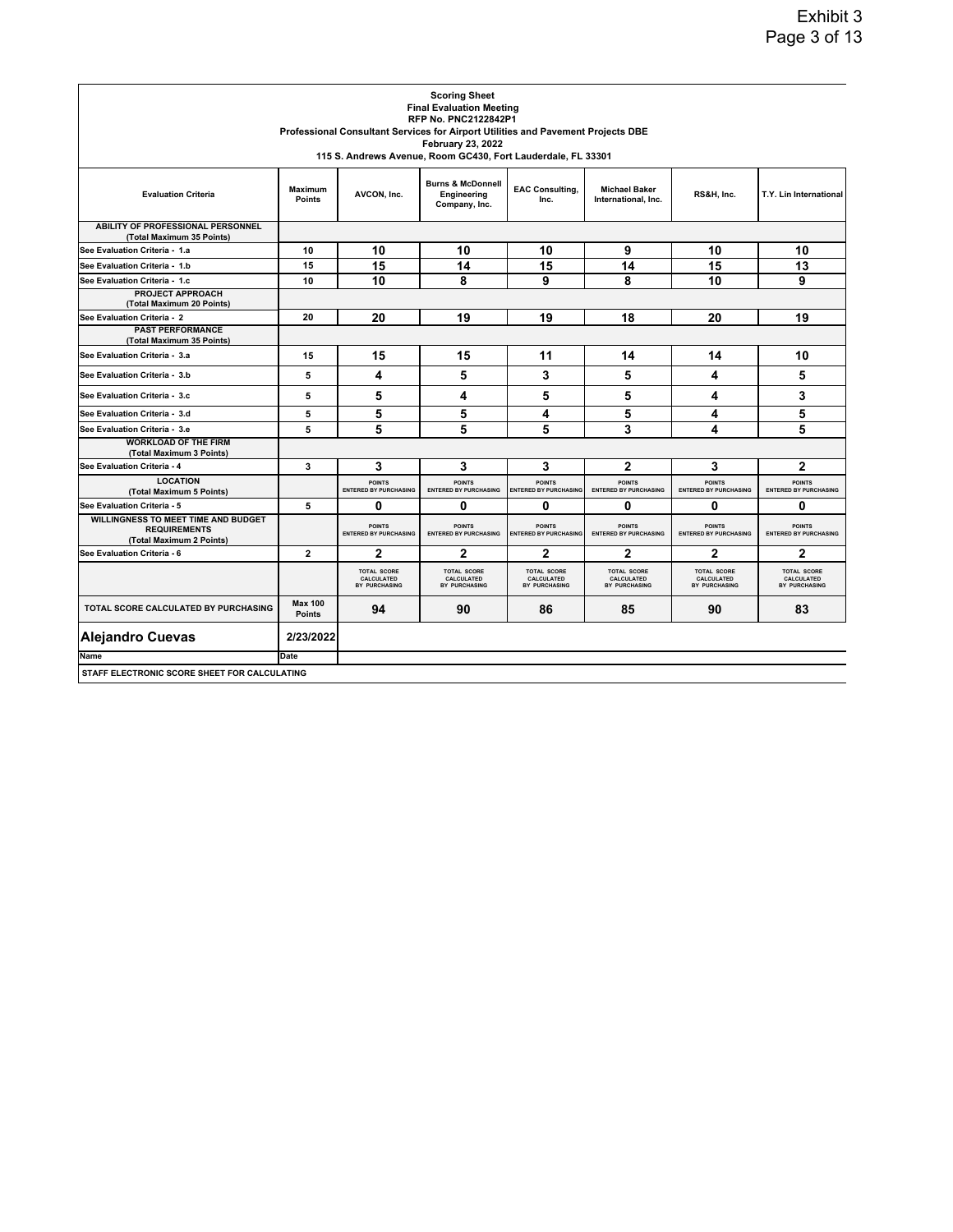|                                                                                               |                                 |                                                   | <b>Scoring Sheet</b>                                                             |                                                   |                                                   |                                                   |                                                   |
|-----------------------------------------------------------------------------------------------|---------------------------------|---------------------------------------------------|----------------------------------------------------------------------------------|---------------------------------------------------|---------------------------------------------------|---------------------------------------------------|---------------------------------------------------|
|                                                                                               |                                 |                                                   | <b>Final Evaluation Meeting</b><br><b>RFP No. PNC2122842P1</b>                   |                                                   |                                                   |                                                   |                                                   |
|                                                                                               |                                 |                                                   | Professional Consultant Services for Airport Utilities and Pavement Projects DBE |                                                   |                                                   |                                                   |                                                   |
|                                                                                               |                                 |                                                   | <b>February 23, 2022</b>                                                         |                                                   |                                                   |                                                   |                                                   |
|                                                                                               |                                 |                                                   | 115 S. Andrews Avenue, Room GC430, Fort Lauderdale, FL 33301                     |                                                   |                                                   |                                                   |                                                   |
| <b>Evaluation Criteria</b>                                                                    | <b>Maximum</b><br><b>Points</b> | AVCON, Inc.                                       | <b>Burns &amp; McDonnell</b><br>Engineering<br>Company, Inc.                     | <b>EAC Consulting,</b><br>Inc.                    | <b>Michael Baker</b><br>International, Inc.       | RS&H, Inc.                                        | T.Y. Lin International                            |
| <b>ABILITY OF PROFESSIONAL PERSONNEL</b><br>(Total Maximum 35 Points)                         |                                 |                                                   |                                                                                  |                                                   |                                                   |                                                   |                                                   |
| See Evaluation Criteria - 1.a                                                                 | 10                              | 10                                                | 10                                                                               | 10                                                | 9                                                 | 10                                                | 10                                                |
| See Evaluation Criteria - 1.b                                                                 | 15                              | 15                                                | 14                                                                               | 15                                                | 14                                                | 15                                                | 13                                                |
| See Evaluation Criteria - 1.c                                                                 | 10                              | 10                                                | 8                                                                                | 9                                                 | 8                                                 | 10                                                | 9                                                 |
| <b>PROJECT APPROACH</b><br>(Total Maximum 20 Points)                                          |                                 |                                                   |                                                                                  |                                                   |                                                   |                                                   |                                                   |
| See Evaluation Criteria - 2                                                                   | 20                              | 20                                                | 19                                                                               | 19                                                | 18                                                | 20                                                | 19                                                |
| <b>PAST PERFORMANCE</b><br>(Total Maximum 35 Points)                                          |                                 |                                                   |                                                                                  |                                                   |                                                   |                                                   |                                                   |
| See Evaluation Criteria - 3.a                                                                 | 15                              | 15                                                | 15                                                                               | 11                                                | 14                                                | 14                                                | 10                                                |
| See Evaluation Criteria - 3.b                                                                 | 5                               | 4                                                 | 5                                                                                | 3                                                 | 5                                                 | 4                                                 | 5                                                 |
| See Evaluation Criteria - 3.c                                                                 | 5                               | 5                                                 | 4                                                                                | 5                                                 | 5                                                 | 4                                                 | 3                                                 |
| See Evaluation Criteria - 3.d                                                                 | 5                               | 5                                                 | 5                                                                                | 4                                                 | 5                                                 | 4                                                 | 5                                                 |
| See Evaluation Criteria - 3.e                                                                 | 5                               | 5                                                 | 5                                                                                | 5                                                 | 3                                                 | 4                                                 | 5                                                 |
| <b>WORKLOAD OF THE FIRM</b><br>(Total Maximum 3 Points)                                       |                                 |                                                   |                                                                                  |                                                   |                                                   |                                                   |                                                   |
| See Evaluation Criteria - 4                                                                   | 3                               | 3                                                 | 3                                                                                | 3                                                 | $\mathbf{2}$                                      | 3                                                 | 2                                                 |
| <b>LOCATION</b><br>(Total Maximum 5 Points)                                                   |                                 | <b>POINTS</b><br><b>ENTERED BY PURCHASING</b>     | <b>POINTS</b><br><b>ENTERED BY PURCHASING</b>                                    | <b>POINTS</b><br><b>ENTERED BY PURCHASING</b>     | <b>POINTS</b><br><b>ENTERED BY PURCHASING</b>     | <b>POINTS</b><br><b>ENTERED BY PURCHASING</b>     | <b>POINTS</b><br><b>ENTERED BY PURCHASING</b>     |
| See Evaluation Criteria - 5                                                                   | 5                               | 0                                                 | $\mathbf{0}$                                                                     | 0                                                 | 0                                                 | 0                                                 | 0                                                 |
| <b>WILLINGNESS TO MEET TIME AND BUDGET</b><br><b>REQUIREMENTS</b><br>(Total Maximum 2 Points) |                                 | <b>POINTS</b><br><b>ENTERED BY PURCHASING</b>     | <b>POINTS</b><br><b>ENTERED BY PURCHASING</b>                                    | <b>POINTS</b><br><b>ENTERED BY PURCHASING</b>     | <b>POINTS</b><br><b>ENTERED BY PURCHASING</b>     | <b>POINTS</b><br><b>ENTERED BY PURCHASING</b>     | <b>POINTS</b><br><b>ENTERED BY PURCHASING</b>     |
| See Evaluation Criteria - 6                                                                   | $\overline{2}$                  | $\overline{2}$                                    | $\mathbf{2}$                                                                     | $\overline{2}$                                    | $\mathbf{2}$                                      | $\mathbf{2}$                                      | $\overline{2}$                                    |
|                                                                                               |                                 | <b>TOTAL SCORE</b><br>CALCULATED<br>BY PURCHASING | <b>TOTAL SCORE</b><br>CALCULATED<br>BY PURCHASING                                | <b>TOTAL SCORE</b><br>CALCULATED<br>BY PURCHASING | <b>TOTAL SCORE</b><br>CALCULATED<br>BY PURCHASING | <b>TOTAL SCORE</b><br>CALCULATED<br>BY PURCHASING | <b>TOTAL SCORE</b><br>CALCULATED<br>BY PURCHASING |
| TOTAL SCORE CALCULATED BY PURCHASING                                                          | <b>Max 100</b><br><b>Points</b> | 94                                                | 90                                                                               | 86                                                | 85                                                | 90                                                | 83                                                |
| <b>Alejandro Cuevas</b>                                                                       | 2/23/2022                       |                                                   |                                                                                  |                                                   |                                                   |                                                   |                                                   |
| Name                                                                                          | Date                            |                                                   |                                                                                  |                                                   |                                                   |                                                   |                                                   |
| STAFF ELECTRONIC SCORE SHEET FOR CALCULATING                                                  |                                 |                                                   |                                                                                  |                                                   |                                                   |                                                   |                                                   |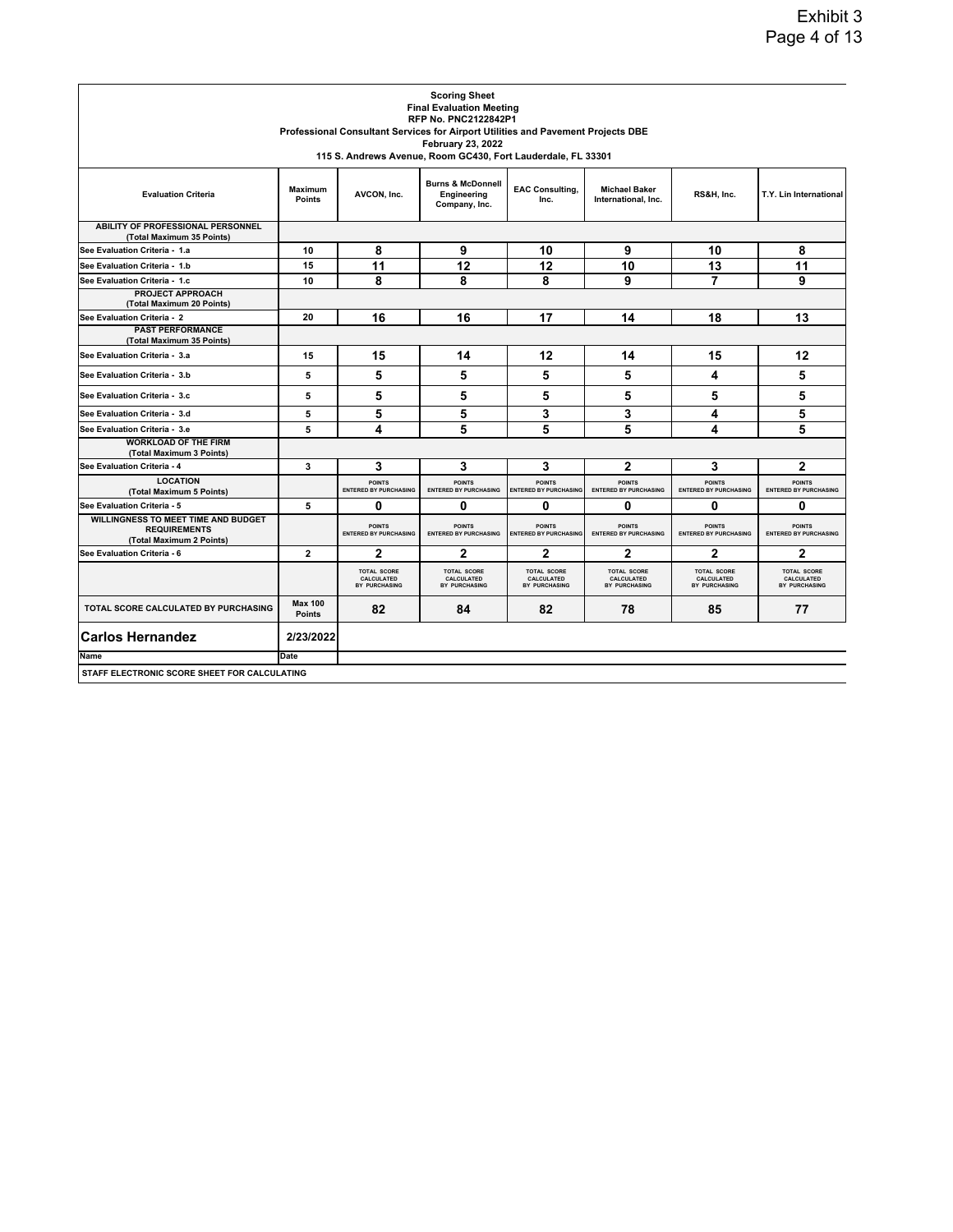|                                                                                               |                                 |                                                   | <b>Scoring Sheet</b><br><b>Final Evaluation Meeting</b>                                  |                                                   |                                                   |                                                   |                                                   |
|-----------------------------------------------------------------------------------------------|---------------------------------|---------------------------------------------------|------------------------------------------------------------------------------------------|---------------------------------------------------|---------------------------------------------------|---------------------------------------------------|---------------------------------------------------|
|                                                                                               |                                 |                                                   | <b>RFP No. PNC2122842P1</b>                                                              |                                                   |                                                   |                                                   |                                                   |
|                                                                                               |                                 |                                                   | Professional Consultant Services for Airport Utilities and Pavement Projects DBE         |                                                   |                                                   |                                                   |                                                   |
|                                                                                               |                                 |                                                   | <b>February 23, 2022</b><br>115 S. Andrews Avenue, Room GC430, Fort Lauderdale, FL 33301 |                                                   |                                                   |                                                   |                                                   |
|                                                                                               |                                 |                                                   |                                                                                          |                                                   |                                                   |                                                   |                                                   |
| <b>Evaluation Criteria</b>                                                                    | <b>Maximum</b><br><b>Points</b> | AVCON, Inc.                                       | <b>Burns &amp; McDonnell</b><br>Engineering<br>Company, Inc.                             | <b>EAC Consulting,</b><br>Inc.                    | <b>Michael Baker</b><br>International, Inc.       | RS&H, Inc.                                        | T.Y. Lin International                            |
| ABILITY OF PROFESSIONAL PERSONNEL<br>(Total Maximum 35 Points)                                |                                 |                                                   |                                                                                          |                                                   |                                                   |                                                   |                                                   |
| See Evaluation Criteria - 1.a                                                                 | 10                              | 8                                                 | 9                                                                                        | 10                                                | 9                                                 | 10                                                | 8                                                 |
| See Evaluation Criteria - 1.b                                                                 | 15                              | 11                                                | 12                                                                                       | 12                                                | 10                                                | 13                                                | 11                                                |
| See Evaluation Criteria - 1.c                                                                 | 10                              | 8                                                 | 8                                                                                        | 8                                                 | 9                                                 | 7                                                 | 9                                                 |
| PROJECT APPROACH<br>(Total Maximum 20 Points)                                                 |                                 |                                                   |                                                                                          |                                                   |                                                   |                                                   |                                                   |
| See Evaluation Criteria - 2                                                                   | 20                              | 16                                                | 16                                                                                       | 17                                                | 14                                                | 18                                                | 13                                                |
| <b>PAST PERFORMANCE</b><br>(Total Maximum 35 Points)                                          |                                 |                                                   |                                                                                          |                                                   |                                                   |                                                   |                                                   |
| See Evaluation Criteria - 3.a                                                                 | 15                              | 15                                                | 14                                                                                       | 12                                                | 14                                                | 15                                                | 12                                                |
| See Evaluation Criteria - 3.b                                                                 | 5                               | 5                                                 | 5                                                                                        | 5                                                 | 5                                                 | 4                                                 | 5                                                 |
| See Evaluation Criteria - 3.c                                                                 | 5                               | 5                                                 | 5                                                                                        | 5                                                 | 5                                                 | 5                                                 | 5                                                 |
| See Evaluation Criteria - 3.d                                                                 | 5                               | 5                                                 | 5                                                                                        | 3                                                 | 3                                                 | 4                                                 | 5                                                 |
| See Evaluation Criteria - 3.e                                                                 | 5                               | 4                                                 | 5                                                                                        | 5                                                 | 5                                                 | 4                                                 | 5                                                 |
| <b>WORKLOAD OF THE FIRM</b><br>(Total Maximum 3 Points)                                       |                                 |                                                   |                                                                                          |                                                   |                                                   |                                                   |                                                   |
| See Evaluation Criteria - 4                                                                   | 3                               | 3                                                 | 3                                                                                        | 3                                                 | $\overline{2}$                                    | 3                                                 | $\overline{2}$                                    |
| <b>LOCATION</b><br>(Total Maximum 5 Points)                                                   |                                 | <b>POINTS</b><br><b>ENTERED BY PURCHASING</b>     | <b>POINTS</b><br><b>ENTERED BY PURCHASING</b>                                            | <b>POINTS</b><br><b>ENTERED BY PURCHASING</b>     | <b>POINTS</b><br><b>ENTERED BY PURCHASING</b>     | <b>POINTS</b><br><b>ENTERED BY PURCHASING</b>     | <b>POINTS</b><br><b>ENTERED BY PURCHASING</b>     |
| See Evaluation Criteria - 5                                                                   | 5                               | 0                                                 | 0                                                                                        | 0                                                 | 0                                                 | 0                                                 | 0                                                 |
| <b>WILLINGNESS TO MEET TIME AND BUDGET</b><br><b>REQUIREMENTS</b><br>(Total Maximum 2 Points) |                                 | <b>POINTS</b><br><b>ENTERED BY PURCHASING</b>     | <b>POINTS</b><br><b>ENTERED BY PURCHASING</b>                                            | <b>POINTS</b><br><b>ENTERED BY PURCHASING</b>     | <b>POINTS</b><br><b>ENTERED BY PURCHASING</b>     | <b>POINTS</b><br><b>ENTERED BY PURCHASING</b>     | <b>POINTS</b><br><b>ENTERED BY PURCHASING</b>     |
| See Evaluation Criteria - 6                                                                   | 2                               | 2                                                 | $\mathbf{2}$                                                                             | 2                                                 | 2                                                 | 2                                                 | $\mathbf{2}$                                      |
|                                                                                               |                                 | <b>TOTAL SCORE</b><br>CALCULATED<br>BY PURCHASING | <b>TOTAL SCORE</b><br>CALCULATED<br>BY PURCHASING                                        | <b>TOTAL SCORE</b><br>CALCULATED<br>BY PURCHASING | <b>TOTAL SCORE</b><br>CALCULATED<br>BY PURCHASING | <b>TOTAL SCORE</b><br>CALCULATED<br>BY PURCHASING | <b>TOTAL SCORE</b><br>CALCULATED<br>BY PURCHASING |
| TOTAL SCORE CALCULATED BY PURCHASING                                                          | <b>Max 100</b><br><b>Points</b> | 82                                                | 84                                                                                       | 82                                                | 78                                                | 85                                                | 77                                                |
| <b>Carlos Hernandez</b>                                                                       | 2/23/2022                       |                                                   |                                                                                          |                                                   |                                                   |                                                   |                                                   |
| Name                                                                                          | Date                            |                                                   |                                                                                          |                                                   |                                                   |                                                   |                                                   |
| STAFF ELECTRONIC SCORE SHEET FOR CALCULATING                                                  |                                 |                                                   |                                                                                          |                                                   |                                                   |                                                   |                                                   |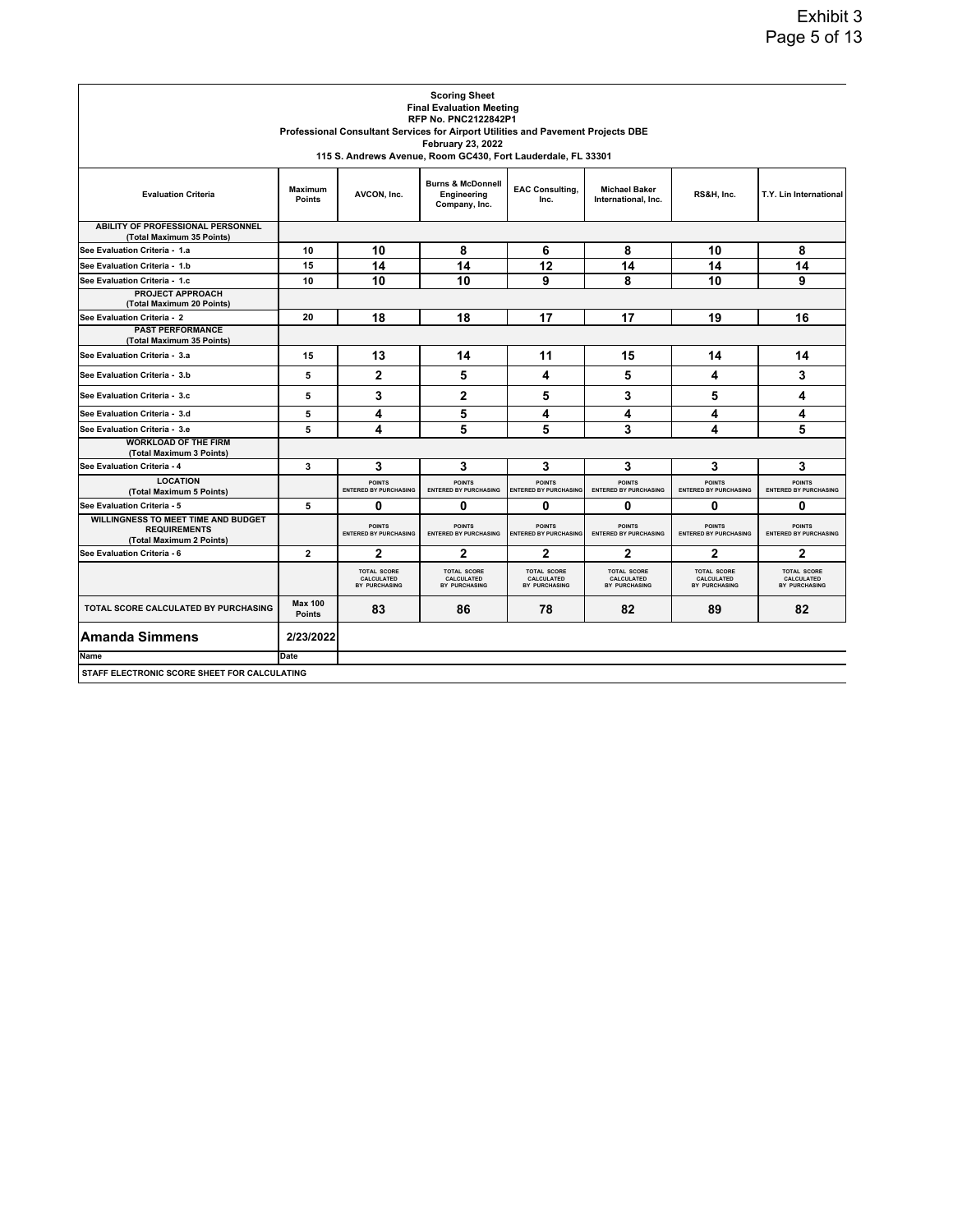|                                                                                               |                                 |                                                   | <b>Scoring Sheet</b><br><b>Final Evaluation Meeting</b>                          |                                                   |                                                   |                                                   |                                                   |
|-----------------------------------------------------------------------------------------------|---------------------------------|---------------------------------------------------|----------------------------------------------------------------------------------|---------------------------------------------------|---------------------------------------------------|---------------------------------------------------|---------------------------------------------------|
|                                                                                               |                                 |                                                   | <b>RFP No. PNC2122842P1</b>                                                      |                                                   |                                                   |                                                   |                                                   |
|                                                                                               |                                 |                                                   | Professional Consultant Services for Airport Utilities and Pavement Projects DBE |                                                   |                                                   |                                                   |                                                   |
|                                                                                               |                                 |                                                   | <b>February 23, 2022</b>                                                         |                                                   |                                                   |                                                   |                                                   |
|                                                                                               |                                 |                                                   | 115 S. Andrews Avenue, Room GC430, Fort Lauderdale, FL 33301                     |                                                   |                                                   |                                                   |                                                   |
| <b>Evaluation Criteria</b>                                                                    | <b>Maximum</b><br><b>Points</b> | AVCON, Inc.                                       | <b>Burns &amp; McDonnell</b><br>Engineering<br>Company, Inc.                     | <b>EAC Consulting,</b><br>Inc.                    | <b>Michael Baker</b><br>International, Inc.       | RS&H, Inc.                                        | T.Y. Lin International                            |
| <b>ABILITY OF PROFESSIONAL PERSONNEL</b><br>(Total Maximum 35 Points)                         |                                 |                                                   |                                                                                  |                                                   |                                                   |                                                   |                                                   |
| See Evaluation Criteria - 1.a                                                                 | 10                              | 10                                                | 8                                                                                | 6                                                 | 8                                                 | 10                                                | 8                                                 |
| See Evaluation Criteria - 1.b                                                                 | 15                              | 14                                                | 14                                                                               | 12                                                | 14                                                | 14                                                | 14                                                |
| See Evaluation Criteria - 1.c                                                                 | 10                              | 10                                                | 10                                                                               | 9                                                 | 8                                                 | 10                                                | 9                                                 |
| <b>PROJECT APPROACH</b><br>(Total Maximum 20 Points)                                          |                                 |                                                   |                                                                                  |                                                   |                                                   |                                                   |                                                   |
| See Evaluation Criteria - 2                                                                   | 20                              | 18                                                | 18                                                                               | 17                                                | 17                                                | 19                                                | 16                                                |
| <b>PAST PERFORMANCE</b><br>(Total Maximum 35 Points)                                          |                                 |                                                   |                                                                                  |                                                   |                                                   |                                                   |                                                   |
| See Evaluation Criteria - 3.a                                                                 | 15                              | 13                                                | 14                                                                               | 11                                                | 15                                                | 14                                                | 14                                                |
| See Evaluation Criteria - 3.b                                                                 | 5                               | 2                                                 | 5                                                                                | 4                                                 | 5                                                 | 4                                                 | 3                                                 |
| See Evaluation Criteria - 3.c                                                                 | 5                               | 3                                                 | 2                                                                                | 5                                                 | 3                                                 | 5                                                 | 4                                                 |
| See Evaluation Criteria - 3.d                                                                 | 5                               | 4                                                 | 5                                                                                | 4                                                 | 4                                                 | 4                                                 | 4                                                 |
| See Evaluation Criteria - 3.e                                                                 | 5                               | 4                                                 | 5                                                                                | 5                                                 | 3                                                 | 4                                                 | 5                                                 |
| <b>WORKLOAD OF THE FIRM</b><br>(Total Maximum 3 Points)                                       |                                 |                                                   |                                                                                  |                                                   |                                                   |                                                   |                                                   |
| See Evaluation Criteria - 4                                                                   | 3                               | 3                                                 | 3                                                                                | 3                                                 | 3                                                 | 3                                                 | 3                                                 |
| <b>LOCATION</b><br>(Total Maximum 5 Points)                                                   |                                 | <b>POINTS</b><br><b>ENTERED BY PURCHASING</b>     | <b>POINTS</b><br><b>ENTERED BY PURCHASING</b>                                    | <b>POINTS</b><br><b>ENTERED BY PURCHASING</b>     | <b>POINTS</b><br><b>ENTERED BY PURCHASING</b>     | <b>POINTS</b><br><b>ENTERED BY PURCHASING</b>     | <b>POINTS</b><br><b>ENTERED BY PURCHASING</b>     |
| See Evaluation Criteria - 5                                                                   | 5                               | 0                                                 | $\mathbf{0}$                                                                     | 0                                                 | 0                                                 | 0                                                 | 0                                                 |
| <b>WILLINGNESS TO MEET TIME AND BUDGET</b><br><b>REQUIREMENTS</b><br>(Total Maximum 2 Points) |                                 | <b>POINTS</b><br><b>ENTERED BY PURCHASING</b>     | <b>POINTS</b><br><b>ENTERED BY PURCHASING</b>                                    | <b>POINTS</b><br><b>ENTERED BY PURCHASING</b>     | <b>POINTS</b><br><b>ENTERED BY PURCHASING</b>     | <b>POINTS</b><br><b>ENTERED BY PURCHASING</b>     | <b>POINTS</b><br><b>ENTERED BY PURCHASING</b>     |
| See Evaluation Criteria - 6                                                                   | $\overline{2}$                  | $\overline{2}$                                    | $\mathbf{2}$                                                                     | $\mathbf{2}$                                      | $\mathbf{2}$                                      | $\mathbf{2}$                                      | $\overline{2}$                                    |
|                                                                                               |                                 | <b>TOTAL SCORE</b><br>CALCULATED<br>BY PURCHASING | <b>TOTAL SCORE</b><br>CALCULATED<br>BY PURCHASING                                | <b>TOTAL SCORE</b><br>CALCULATED<br>BY PURCHASING | <b>TOTAL SCORE</b><br>CALCULATED<br>BY PURCHASING | <b>TOTAL SCORE</b><br>CALCULATED<br>BY PURCHASING | <b>TOTAL SCORE</b><br>CALCULATED<br>BY PURCHASING |
| TOTAL SCORE CALCULATED BY PURCHASING                                                          | <b>Max 100</b><br><b>Points</b> | 83                                                | 86                                                                               | 78                                                | 82                                                | 89                                                | 82                                                |
| <b>Amanda Simmens</b>                                                                         | 2/23/2022                       |                                                   |                                                                                  |                                                   |                                                   |                                                   |                                                   |
| Name                                                                                          | Date                            |                                                   |                                                                                  |                                                   |                                                   |                                                   |                                                   |
| STAFF ELECTRONIC SCORE SHEET FOR CALCULATING                                                  |                                 |                                                   |                                                                                  |                                                   |                                                   |                                                   |                                                   |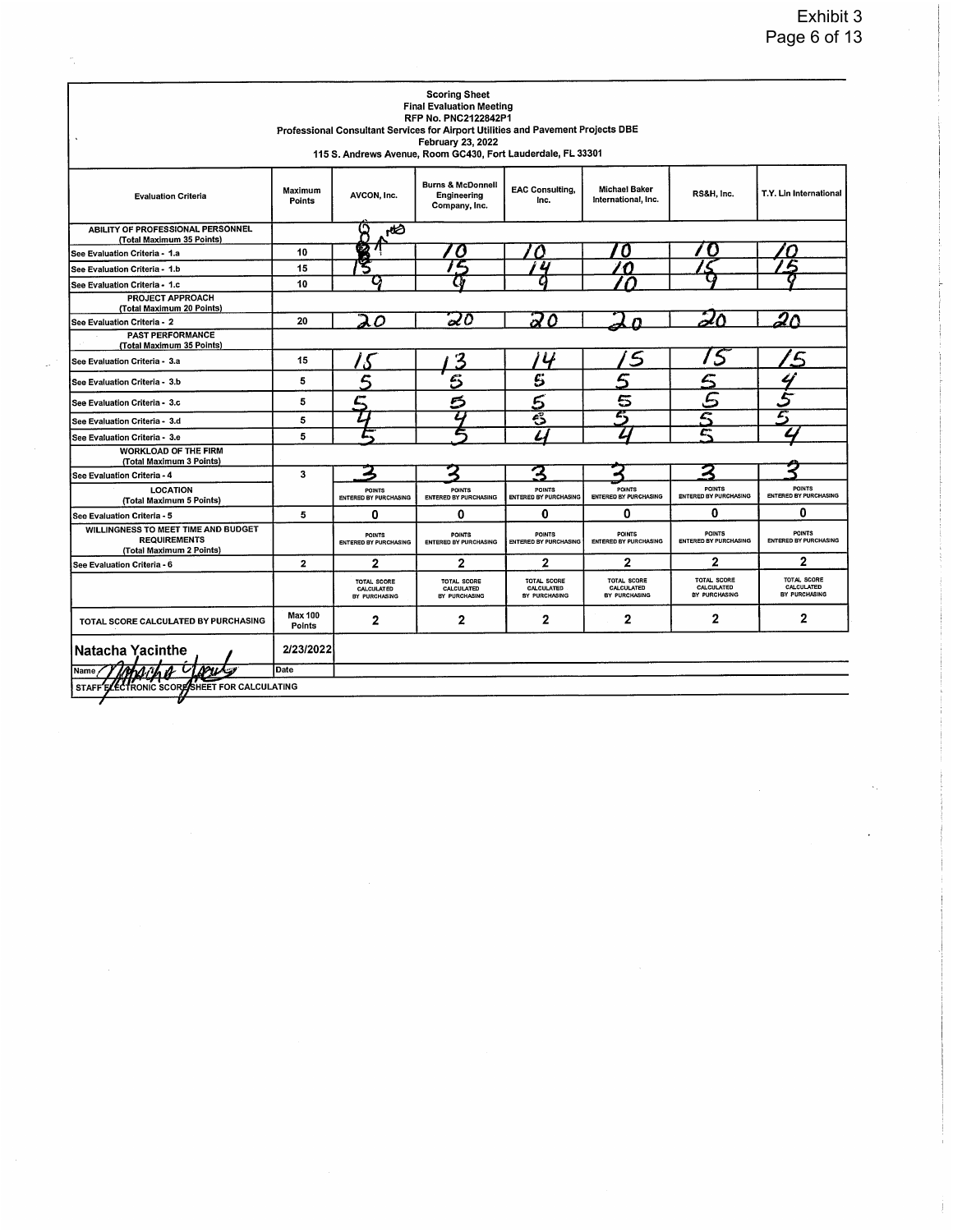|                                                                                        |                   |                                                   | <b>Scoring Sheet</b><br><b>Final Evaluation Meeting</b><br><b>RFP No. PNC2122842P1</b><br>Professional Consultant Services for Airport Utilities and Pavement Projects DBE<br>February 23, 2022<br>115 S. Andrews Avenue, Room GC430, Fort Lauderdale, FL 33301 |                                                   |                                                   |                                            |                                            |
|----------------------------------------------------------------------------------------|-------------------|---------------------------------------------------|-----------------------------------------------------------------------------------------------------------------------------------------------------------------------------------------------------------------------------------------------------------------|---------------------------------------------------|---------------------------------------------------|--------------------------------------------|--------------------------------------------|
| <b>Evaluation Criteria</b>                                                             | Maximum<br>Points | AVCON, Inc.                                       | <b>Burns &amp; McDonnell</b><br>Engineering<br>Company, Inc.                                                                                                                                                                                                    | <b>EAC Consulting,</b><br>Inc.                    | Michael Baker<br>International, Inc.              | RS&H, Inc.                                 | T.Y. Lin International                     |
| ABILITY OF PROFESSIONAL PERSONNEL<br>(Total Maximum 35 Points)                         |                   | ႙<br>ظطم                                          |                                                                                                                                                                                                                                                                 |                                                   |                                                   |                                            |                                            |
| See Evaluation Criteria - 1.a                                                          | 10                | ż2                                                | U                                                                                                                                                                                                                                                               |                                                   | U                                                 |                                            |                                            |
| See Evaluation Criteria - 1.b                                                          | 15                |                                                   | £                                                                                                                                                                                                                                                               |                                                   | €                                                 |                                            |                                            |
| See Evaluation Criteria - 1.c                                                          | 10                |                                                   |                                                                                                                                                                                                                                                                 |                                                   |                                                   |                                            |                                            |
| <b>PROJECT APPROACH</b><br>(Total Maximum 20 Points)                                   |                   |                                                   |                                                                                                                                                                                                                                                                 |                                                   |                                                   |                                            |                                            |
| See Evaluation Criteria - 2                                                            | 20                | $\Omega$                                          | 20                                                                                                                                                                                                                                                              | 20                                                |                                                   |                                            | חש                                         |
| <b>PAST PERFORMANCE</b><br>(Total Maximum 35 Points)                                   |                   |                                                   |                                                                                                                                                                                                                                                                 |                                                   |                                                   |                                            |                                            |
| See Evaluation Criteria - 3.a                                                          | 15                |                                                   | 3                                                                                                                                                                                                                                                               | Ч                                                 | 5                                                 | 5                                          |                                            |
| See Evaluation Criteria - 3.b                                                          | 5                 |                                                   | $\tilde{\mathcal{E}}$                                                                                                                                                                                                                                           | $\mathbf{c}$                                      |                                                   |                                            |                                            |
| See Evaluation Criteria - 3.c                                                          | 5                 |                                                   |                                                                                                                                                                                                                                                                 | <u>ક</u>                                          | 5                                                 |                                            |                                            |
| See Evaluation Criteria - 3.d                                                          | 5                 |                                                   |                                                                                                                                                                                                                                                                 | ఔ                                                 | z.                                                |                                            |                                            |
| See Evaluation Criteria - 3.e                                                          | 5                 |                                                   |                                                                                                                                                                                                                                                                 |                                                   |                                                   |                                            |                                            |
| <b>WORKLOAD OF THE FIRM</b><br>(Total Maximum 3 Points)                                |                   |                                                   |                                                                                                                                                                                                                                                                 |                                                   |                                                   |                                            |                                            |
| See Evaluation Criteria - 4                                                            | 3                 |                                                   |                                                                                                                                                                                                                                                                 | З                                                 |                                                   | 2                                          |                                            |
| <b>LOCATION</b><br>(Total Maximum 5 Points)                                            |                   | POINTS<br>ENTERED BY PURCHASING                   | POINTS<br><b>ENTERED BY PURCHASING</b>                                                                                                                                                                                                                          | <b>POINTS</b><br>ENTERED BY PURCHASING            | <b>POINTS</b><br>ENTERED BY PURCHASING            | POINTS<br><b>ENTERED BY PURCHASING</b>     | POINTS<br><b>ENTERED BY PURCHASING</b>     |
| See Evaluation Criteria - 5                                                            | 5                 | 0                                                 | 0                                                                                                                                                                                                                                                               | 0                                                 | 0                                                 | 0                                          | 0                                          |
| WILLINGNESS TO MEET TIME AND BUDGET<br><b>REQUIREMENTS</b><br>(Total Maximum 2 Points) |                   | <b>POINTS</b><br><b>ENTERED BY PURCHASING</b>     | <b>POINTS</b><br><b>ENTERED BY PURCHASING</b>                                                                                                                                                                                                                   | <b>POINTS</b><br><b>ENTERED BY PURCHASING</b>     | <b>POINTS</b><br><b>ENTERED BY PURCHASING</b>     | <b>POINTS</b><br>ENTERED BY PURCHASING     | POINTS<br><b>ENTERED BY PURCHASING</b>     |
| See Evaluation Criteria - 6                                                            | $\mathbf{2}$      | $\overline{2}$                                    | $\mathbf{2}$                                                                                                                                                                                                                                                    | $\overline{2}$                                    | $\mathbf{2}$                                      | $\mathbf{2}$                               | $\mathbf{2}$                               |
|                                                                                        |                   | <b>TOTAL SCORE</b><br>CALCULATED<br>BY PURCHASING | TOTAL SCORE<br>CALCULATED<br>BY PURCHASING                                                                                                                                                                                                                      | TOTAL SCORE<br><b>CALCULATED</b><br>BY PURCHASING | <b>TOTAL SCORE</b><br>CALCULATED<br>BY PURCHASING | TOTAL SCORE<br>CALCULATED<br>BY PURCHASING | TOTAL SCORE<br>CALCULATED<br>BY PURCHASING |
| TOTAL SCORE CALCULATED BY PURCHASING                                                   | Max 100<br>Points | $\overline{2}$                                    | $\mathbf{z}$                                                                                                                                                                                                                                                    | $\mathbf{2}$                                      | $\mathbf 2$                                       | $\mathbf 2$                                | $\overline{2}$                             |
| lNatacha Yacinthe                                                                      | 2/23/2022         |                                                   |                                                                                                                                                                                                                                                                 |                                                   |                                                   |                                            |                                            |
| Name                                                                                   | Date              |                                                   |                                                                                                                                                                                                                                                                 |                                                   |                                                   |                                            |                                            |
| STAFF ELECTRONIC SCORE/SHEET FOR CALCULATING                                           |                   |                                                   |                                                                                                                                                                                                                                                                 |                                                   |                                                   |                                            |                                            |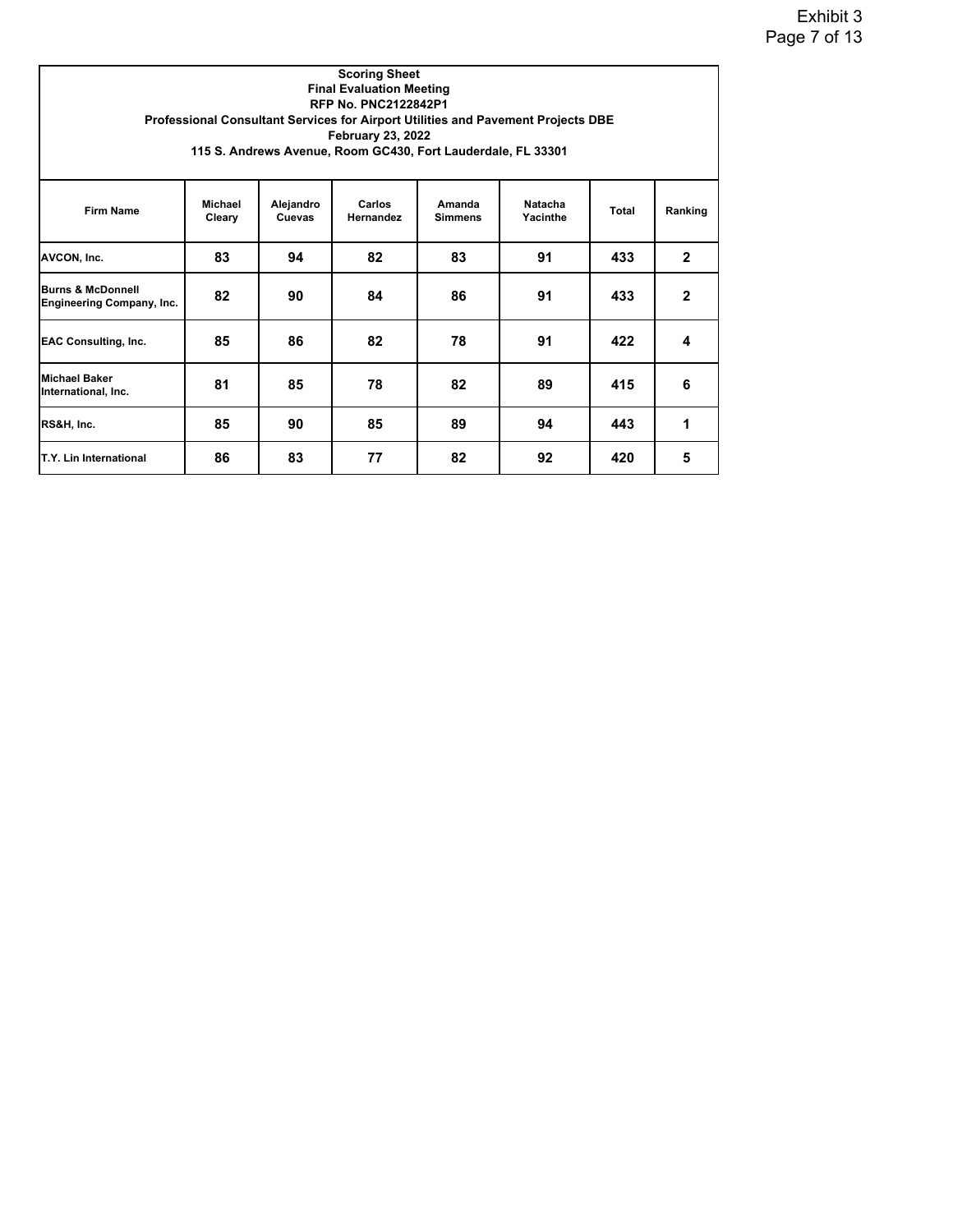|                                                                  |                          |                            | <b>Scoring Sheet</b><br><b>Final Evaluation Meeting</b><br>RFP No. PNC2122842P1<br><b>February 23, 2022</b><br>115 S. Andrews Avenue, Room GC430, Fort Lauderdale, FL 33301 |                          | Professional Consultant Services for Airport Utilities and Pavement Projects DBE |       |              |
|------------------------------------------------------------------|--------------------------|----------------------------|-----------------------------------------------------------------------------------------------------------------------------------------------------------------------------|--------------------------|----------------------------------------------------------------------------------|-------|--------------|
| <b>Firm Name</b>                                                 | <b>Michael</b><br>Cleary | Alejandro<br><b>Cuevas</b> | Carlos<br>Hernandez                                                                                                                                                         | Amanda<br><b>Simmens</b> | Natacha<br>Yacinthe                                                              | Total | Ranking      |
| AVCON, Inc.                                                      | 83                       | 94                         | 82                                                                                                                                                                          | 83                       | 91                                                                               | 433   | $\mathbf{2}$ |
| <b>Burns &amp; McDonnell</b><br><b>Engineering Company, Inc.</b> | 82                       | 90                         | 84                                                                                                                                                                          | 86                       | 91                                                                               | 433   | $\mathbf{2}$ |
| <b>EAC Consulting, Inc.</b>                                      | 85                       | 86                         | 82                                                                                                                                                                          | 78                       | 91                                                                               | 422   | 4            |
| <b>Michael Baker</b><br>International, Inc.                      | 81                       | 85                         | 78                                                                                                                                                                          | 82                       | 89                                                                               | 415   | 6            |
| RS&H, Inc.                                                       | 85                       | 90                         | 85                                                                                                                                                                          | 89                       | 94                                                                               | 443   | 1            |
| T.Y. Lin International                                           | 86                       | 83                         | 77                                                                                                                                                                          | 82                       | 92                                                                               | 420   | 5            |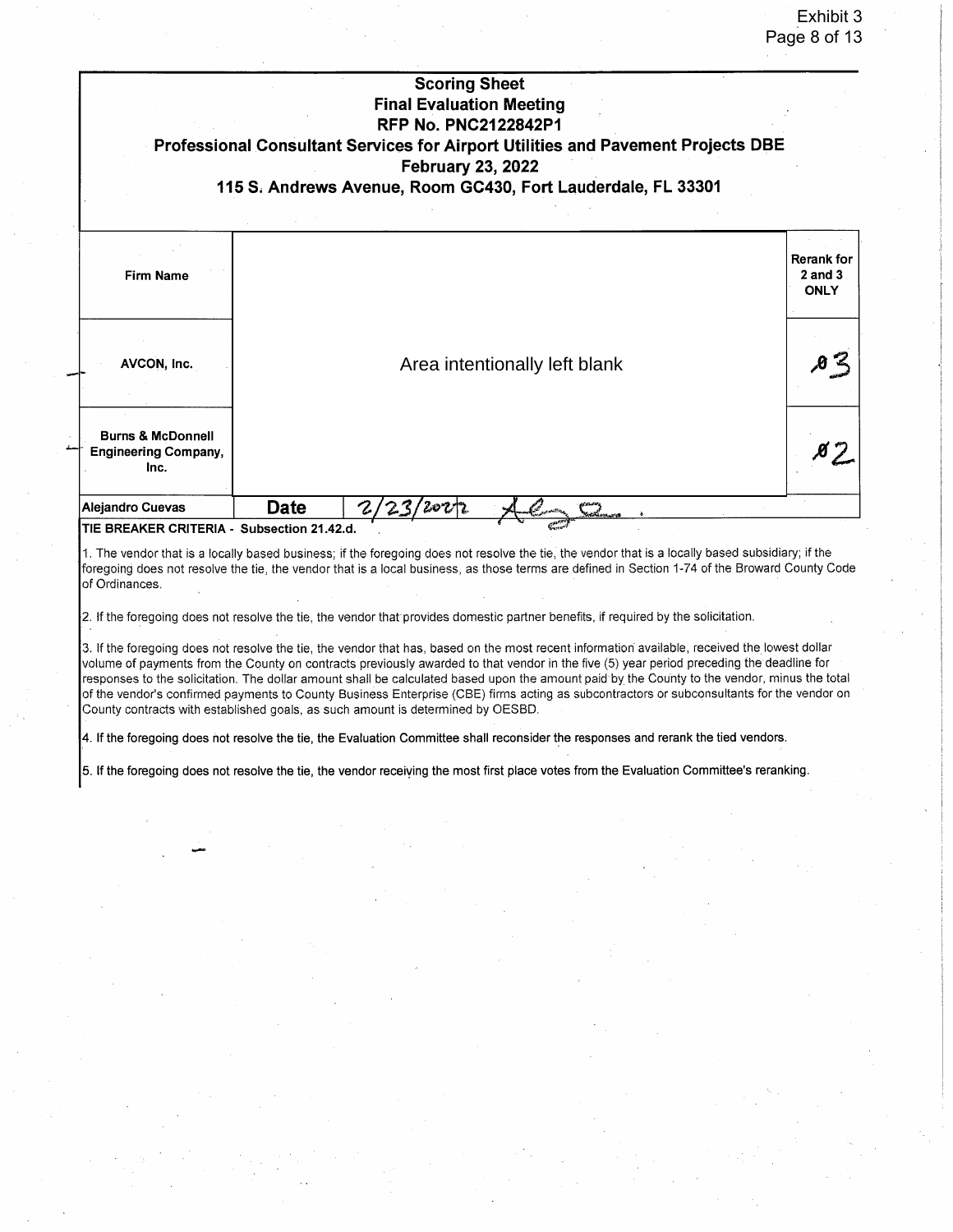|                                                                                 |             | <b>Scoring Sheet</b><br><b>Final Evaluation Meeting</b><br><b>RFP No. PNC2122842P1</b> |                                                                                                                                                                                                                                                                                                                                                                                                                                                                                                                                                                                                                                                                                                                              |                                                 |
|---------------------------------------------------------------------------------|-------------|----------------------------------------------------------------------------------------|------------------------------------------------------------------------------------------------------------------------------------------------------------------------------------------------------------------------------------------------------------------------------------------------------------------------------------------------------------------------------------------------------------------------------------------------------------------------------------------------------------------------------------------------------------------------------------------------------------------------------------------------------------------------------------------------------------------------------|-------------------------------------------------|
|                                                                                 |             | <b>February 23, 2022</b>                                                               | Professional Consultant Services for Airport Utilities and Pavement Projects DBE<br>115 S. Andrews Avenue, Room GC430, Fort Lauderdale, FL 33301                                                                                                                                                                                                                                                                                                                                                                                                                                                                                                                                                                             |                                                 |
| <b>Firm Name</b>                                                                |             |                                                                                        |                                                                                                                                                                                                                                                                                                                                                                                                                                                                                                                                                                                                                                                                                                                              | <b>Rerank for</b><br>$2$ and $3$<br><b>ONLY</b> |
| AVCON, Inc.                                                                     |             |                                                                                        | Area intentionally left blank                                                                                                                                                                                                                                                                                                                                                                                                                                                                                                                                                                                                                                                                                                | $\theta$ $\approx$                              |
| <b>Burns &amp; McDonnell</b><br><b>Engineering Company,</b><br>Inc.             |             |                                                                                        |                                                                                                                                                                                                                                                                                                                                                                                                                                                                                                                                                                                                                                                                                                                              |                                                 |
| <b>Alejandro Cuevas</b>                                                         | <b>Date</b> |                                                                                        |                                                                                                                                                                                                                                                                                                                                                                                                                                                                                                                                                                                                                                                                                                                              |                                                 |
| TIE BREAKER CRITERIA - Subsection 21.42.d.<br>of Ordinances.                    |             |                                                                                        | 1. The vendor that is a locally based business; if the foregoing does not resolve the tie, the vendor that is a locally based subsidiary; if the<br>foregoing does not resolve the tie, the vendor that is a local business, as those terms are defined in Section 1-74 of the Broward County Code                                                                                                                                                                                                                                                                                                                                                                                                                           |                                                 |
| County contracts with established goals, as such amount is determined by OESBD. |             |                                                                                        | 2. If the foregoing does not resolve the tie, the vendor that provides domestic partner benefits, if required by the solicitation.<br>3. If the foregoing does not resolve the tie, the vendor that has, based on the most recent information available, received the lowest dollar<br>volume of payments from the County on contracts previously awarded to that vendor in the five (5) year period preceding the deadline for<br>responses to the solicitation. The dollar amount shall be calculated based upon the amount paid by the County to the vendor, minus the total<br>of the vendor's confirmed payments to County Business Enterprise (CBE) firms acting as subcontractors or subconsultants for the vendor on |                                                 |
|                                                                                 |             |                                                                                        | 4. If the foregoing does not resolve the tie, the Evaluation Committee shall reconsider the responses and rerank the tied vendors.                                                                                                                                                                                                                                                                                                                                                                                                                                                                                                                                                                                           |                                                 |
|                                                                                 |             |                                                                                        | 5. If the foregoing does not resolve the tie, the vendor receiving the most first place votes from the Evaluation Committee's reranking.                                                                                                                                                                                                                                                                                                                                                                                                                                                                                                                                                                                     |                                                 |
|                                                                                 |             |                                                                                        |                                                                                                                                                                                                                                                                                                                                                                                                                                                                                                                                                                                                                                                                                                                              |                                                 |
|                                                                                 |             |                                                                                        |                                                                                                                                                                                                                                                                                                                                                                                                                                                                                                                                                                                                                                                                                                                              |                                                 |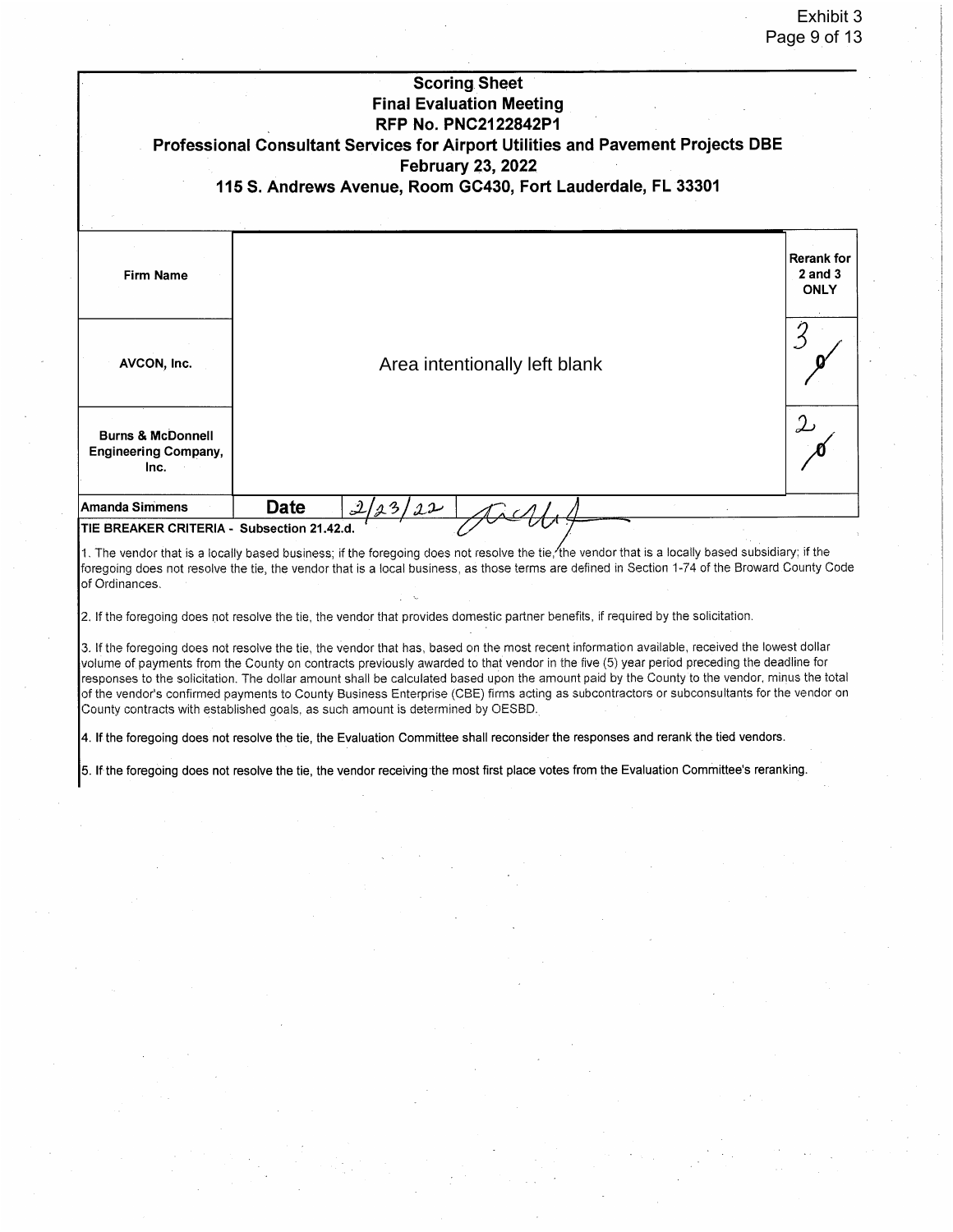|                                                                     | <b>Scoring Sheet</b><br><b>Final Evaluation Meeting</b><br><b>RFP No. PNC2122842P1</b><br>Professional Consultant Services for Airport Utilities and Pavement Projects DBE<br><b>February 23, 2022</b><br>115 S. Andrews Avenue, Room GC430, Fort Lauderdale, FL 33301 |                                                 |
|---------------------------------------------------------------------|------------------------------------------------------------------------------------------------------------------------------------------------------------------------------------------------------------------------------------------------------------------------|-------------------------------------------------|
| <b>Firm Name</b><br>AVCON, Inc.                                     | Area intentionally left blank                                                                                                                                                                                                                                          | <b>Rerank for</b><br>$2$ and $3$<br><b>ONLY</b> |
| <b>Burns &amp; McDonnell</b><br><b>Engineering Company,</b><br>Inc. |                                                                                                                                                                                                                                                                        | 2                                               |
| Amanda Simmens<br>TIE BREAKER CRITERIA - Subsection 21.42.d.        | <b>Date</b><br>2/23/22                                                                                                                                                                                                                                                 |                                                 |

1. The vendor that is a locally based business; if the foregoing does not resolve the tie, the vendor that is a locally based subsidiary; if the foregoing does not resolve the tie, the vendor that is a local business, as those terms are defined in Section 1-74 of the Broward County Code of Ordinances.

2. If the foregoing does not resolve the tie, the vendor that provides domestic partner benefits, if required by the solicitation.

3. If the foregoing does not resolve the tie, the vendor that has, based on the most recent information available, received the lowest dollar volume of payments from the County on contracts previously awarded to that vendor in the five (5) year period preceding the deadline for responses to the solicitation. The dollar amount shall be calculated based upon the amount paid by the County to the vendor, minus the total of the vendor's confirmed payments to County Business Enterprise (CBE) firms acting as subcontractors or subconsultants for the vendor on County contracts with established goals, as such amount is determined by OESBD.

4. If the foregoing does not resolve the tie, the Evaluation Committee shall reconsider the responses and rerank the tied vendors.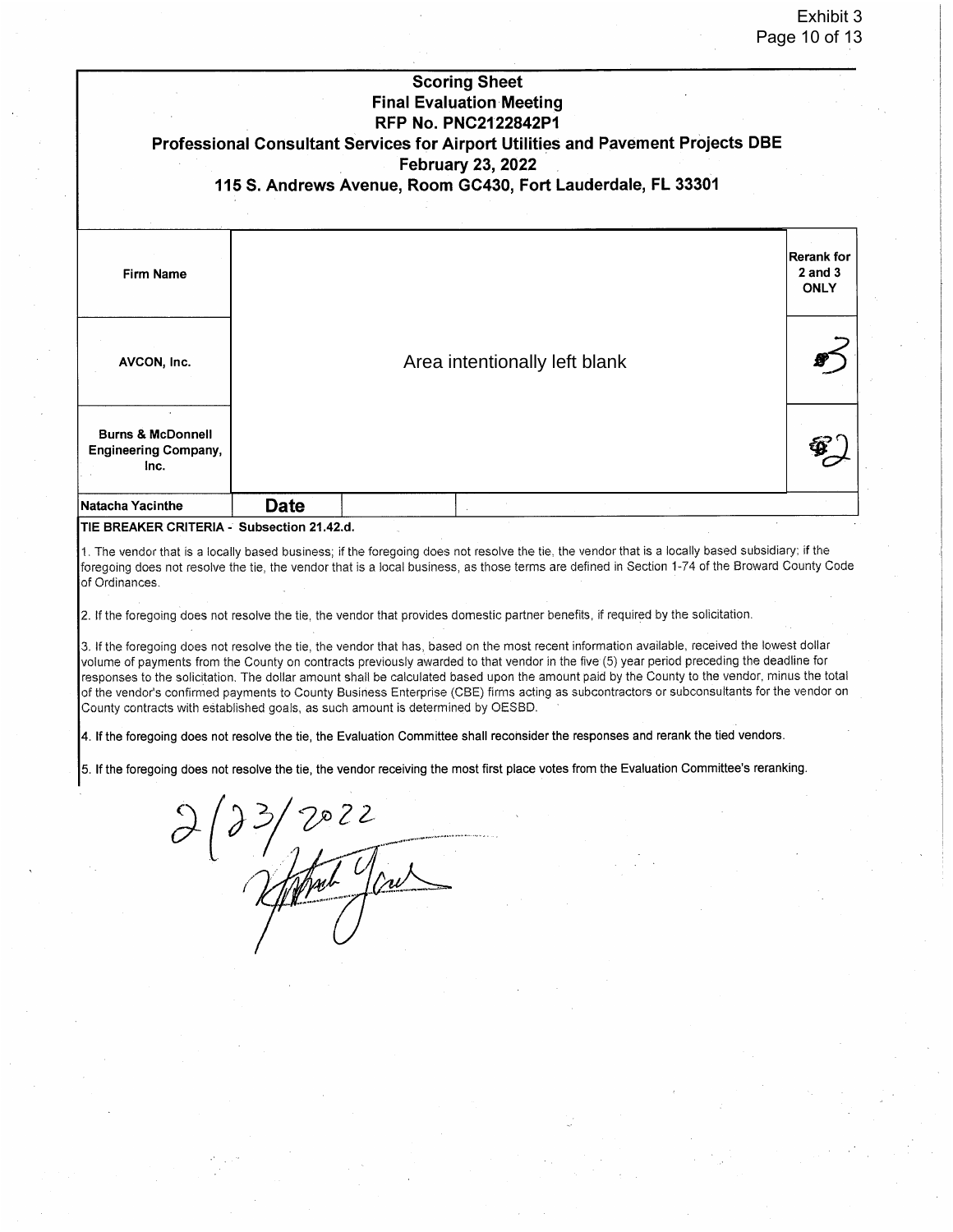|                                                                                                                                                                                                                                                                                                                                                                                                                                                                                                                                                                                                                                                                                                                                                                                                                                                                                                                                                                                                                                                                                                   | Professional Consultant Services for Airport Utilities and Pavement Projects DBE |                               | <b>Scoring Sheet</b><br><b>Final Evaluation Meeting</b><br><b>RFP No. PNC2122842P1</b><br><b>February 23, 2022</b> |  |  |  |                                           |  |
|---------------------------------------------------------------------------------------------------------------------------------------------------------------------------------------------------------------------------------------------------------------------------------------------------------------------------------------------------------------------------------------------------------------------------------------------------------------------------------------------------------------------------------------------------------------------------------------------------------------------------------------------------------------------------------------------------------------------------------------------------------------------------------------------------------------------------------------------------------------------------------------------------------------------------------------------------------------------------------------------------------------------------------------------------------------------------------------------------|----------------------------------------------------------------------------------|-------------------------------|--------------------------------------------------------------------------------------------------------------------|--|--|--|-------------------------------------------|--|
|                                                                                                                                                                                                                                                                                                                                                                                                                                                                                                                                                                                                                                                                                                                                                                                                                                                                                                                                                                                                                                                                                                   | 115 S. Andrews Avenue, Room GC430, Fort Lauderdale, FL 33301                     |                               |                                                                                                                    |  |  |  |                                           |  |
| <b>Firm Name</b>                                                                                                                                                                                                                                                                                                                                                                                                                                                                                                                                                                                                                                                                                                                                                                                                                                                                                                                                                                                                                                                                                  |                                                                                  |                               |                                                                                                                    |  |  |  | lRerank for<br>$2$ and $3$<br><b>ONLY</b> |  |
| AVCON, Inc.                                                                                                                                                                                                                                                                                                                                                                                                                                                                                                                                                                                                                                                                                                                                                                                                                                                                                                                                                                                                                                                                                       |                                                                                  | Area intentionally left blank |                                                                                                                    |  |  |  |                                           |  |
| <b>Burns &amp; McDonnell</b><br><b>Engineering Company,</b><br>Inc.                                                                                                                                                                                                                                                                                                                                                                                                                                                                                                                                                                                                                                                                                                                                                                                                                                                                                                                                                                                                                               |                                                                                  |                               |                                                                                                                    |  |  |  |                                           |  |
| <b>Natacha Yacinthe</b>                                                                                                                                                                                                                                                                                                                                                                                                                                                                                                                                                                                                                                                                                                                                                                                                                                                                                                                                                                                                                                                                           | <b>Date</b>                                                                      |                               |                                                                                                                    |  |  |  |                                           |  |
| 2. If the foregoing does not resolve the tie, the vendor that provides domestic partner benefits, if required by the solicitation.<br>3. If the foregoing does not resolve the tie, the vendor that has, based on the most recent information available, received the lowest dollar<br>volume of payments from the County on contracts previously awarded to that vendor in the five (5) year period preceding the deadline for<br>responses to the solicitation. The dollar amount shall be calculated based upon the amount paid by the County to the vendor, minus the total<br>of the vendor's confirmed payments to County Business Enterprise (CBE) firms acting as subcontractors or subconsultants for the vendor on<br>County contracts with established goals, as such amount is determined by OESBD.<br>4. If the foregoing does not resolve the tie, the Evaluation Committee shall reconsider the responses and rerank the tied vendors.<br>5. If the foregoing does not resolve the tie, the vendor receiving the most first place votes from the Evaluation Committee's reranking. |                                                                                  |                               |                                                                                                                    |  |  |  |                                           |  |
|                                                                                                                                                                                                                                                                                                                                                                                                                                                                                                                                                                                                                                                                                                                                                                                                                                                                                                                                                                                                                                                                                                   |                                                                                  |                               |                                                                                                                    |  |  |  |                                           |  |
|                                                                                                                                                                                                                                                                                                                                                                                                                                                                                                                                                                                                                                                                                                                                                                                                                                                                                                                                                                                                                                                                                                   |                                                                                  |                               |                                                                                                                    |  |  |  |                                           |  |
|                                                                                                                                                                                                                                                                                                                                                                                                                                                                                                                                                                                                                                                                                                                                                                                                                                                                                                                                                                                                                                                                                                   |                                                                                  |                               |                                                                                                                    |  |  |  |                                           |  |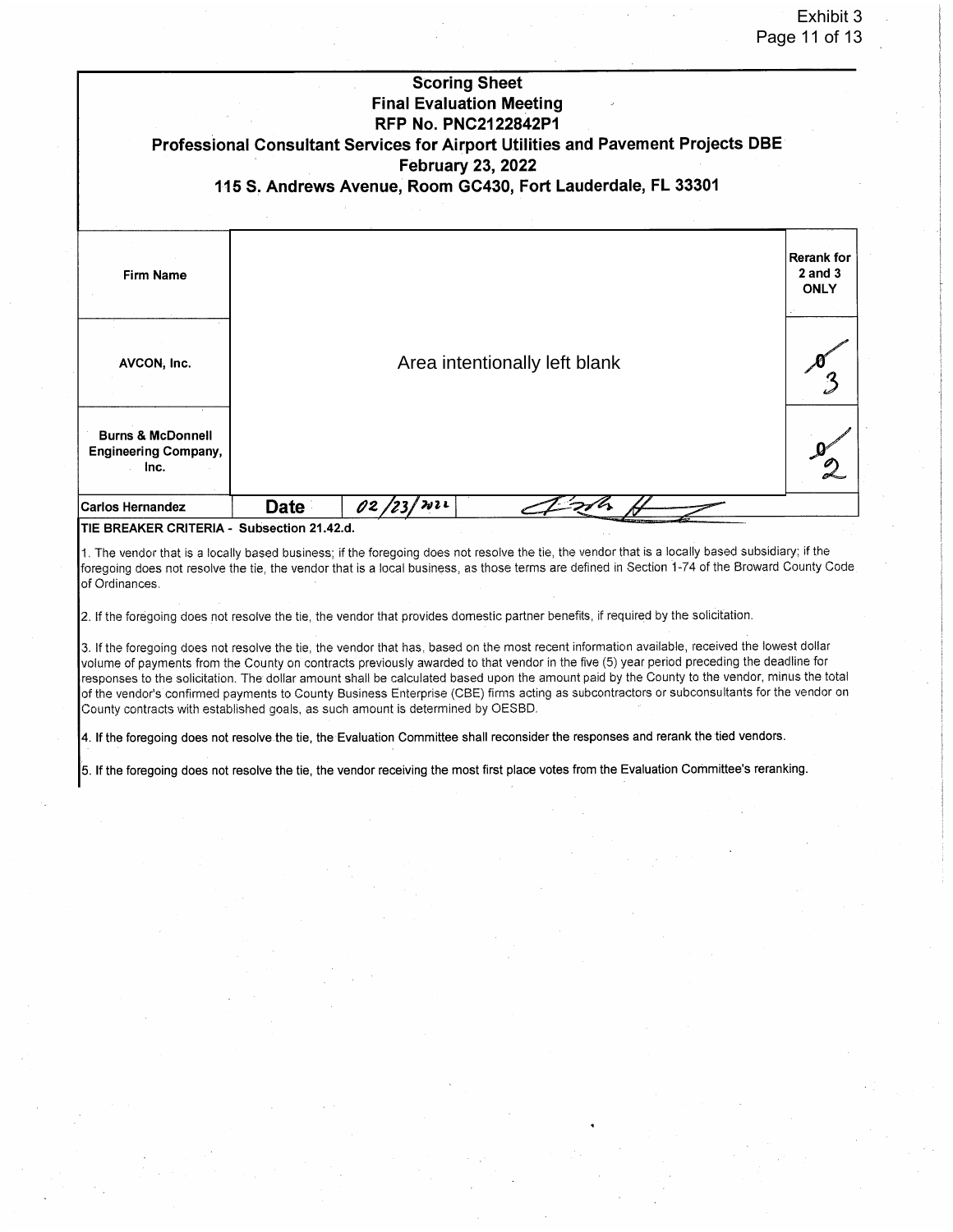|                                                                     |                                     | <b>Scoring Sheet</b><br><b>Final Evaluation Meeting</b><br><b>RFP No. PNC2122842P1</b><br><b>February 23, 2022</b> | Professional Consultant Services for Airport Utilities and Pavement Projects DBE<br>115 S. Andrews Avenue, Room GC430, Fort Lauderdale, FL 33301 |                                                 |  |  |  |
|---------------------------------------------------------------------|-------------------------------------|--------------------------------------------------------------------------------------------------------------------|--------------------------------------------------------------------------------------------------------------------------------------------------|-------------------------------------------------|--|--|--|
| <b>Firm Name</b>                                                    |                                     |                                                                                                                    |                                                                                                                                                  | <b>Rerank for</b><br>$2$ and $3$<br><b>ONLY</b> |  |  |  |
| AVCON, Inc.                                                         |                                     | Area intentionally left blank                                                                                      |                                                                                                                                                  |                                                 |  |  |  |
| <b>Burns &amp; McDonnell</b><br><b>Engineering Company,</b><br>Inc. |                                     |                                                                                                                    |                                                                                                                                                  |                                                 |  |  |  |
| <b>Carlos Hernandez</b><br>TIE DOEAKED COITEDIA                     | Date<br><b>Culturalized OA AO A</b> | みっし<br>02 /                                                                                                        |                                                                                                                                                  |                                                 |  |  |  |

TIE BREAKER CRITERIA - Subsection 21.42.d.

1. The vendor that is a locally based business; if the foregoing does not resolve the tie, the vendor that is a locally based subsidiary; if the foregoing does not resolve the tie, the vendor that is a local business, as those terms are defined in Section 1-74 of the Broward County Code of Ordinances.

2. If the foregoing does not resolve the tie, the vendor that provides domestic partner benefits, if required by the solicitation.

3. If the foregoing does not resolve the tie, the vendor that has, based on the most recent information available, received the lowest dollar volume of payments from the County on contracts previously awarded to that vendor in the five (5) year period preceding the deadline for responses to the solicitation. The dollar amount shall be calculated based upon the amount paid by the County to the vendor, minus the total of the vendor's confirmed payments to County Business Enterprise (CBE) firms acting as subcontractors or subconsultants for the vendor on County contracts with established goals, as such amount is determined by OESBD.

4. If the foregoing does not resolve the tie, the Evaluation Committee shall reconsider the responses and rerank the tied vendors.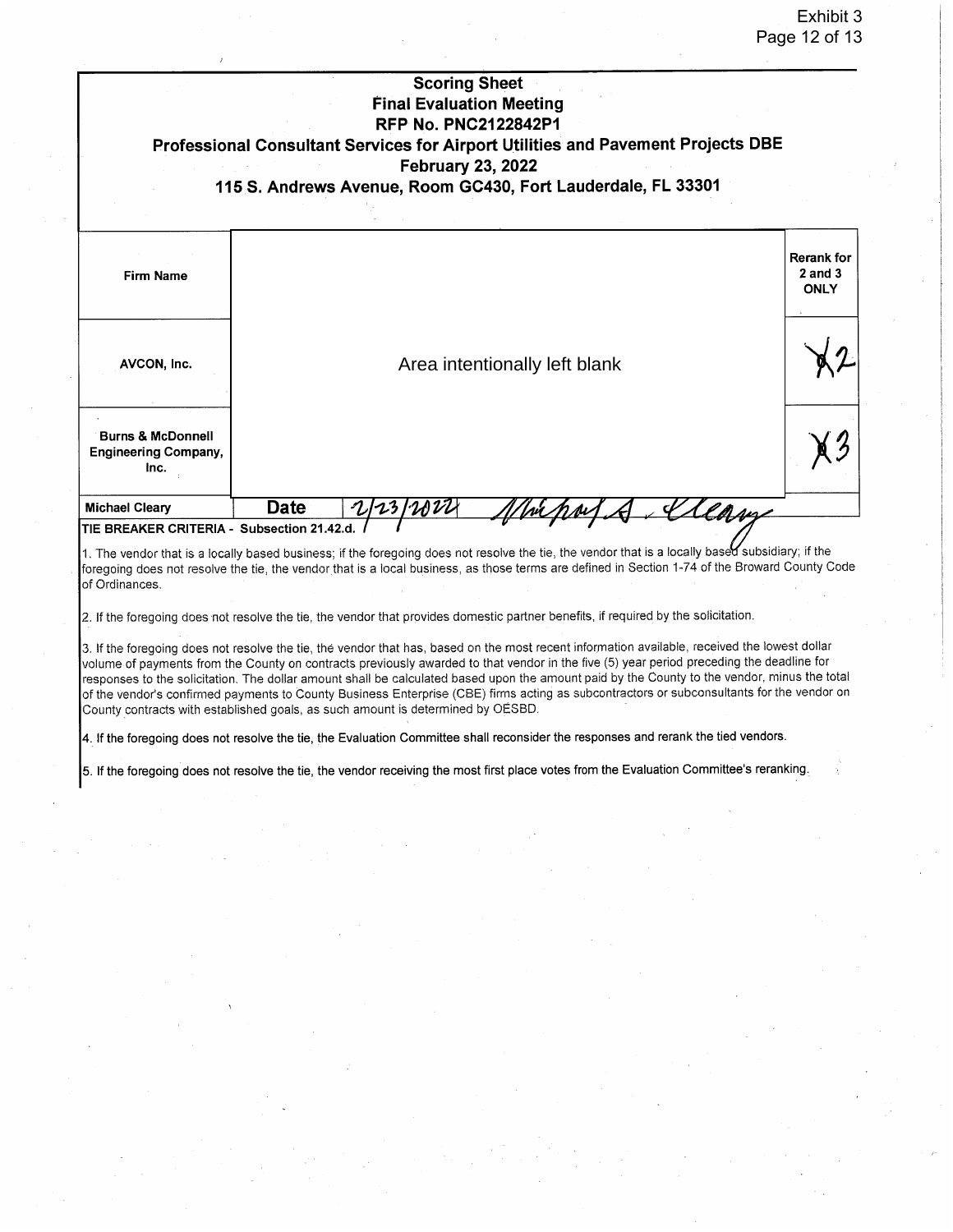|                                                                     | <b>Scoring Sheet</b><br><b>Final Evaluation Meeting</b><br><b>RFP No. PNC2122842P1</b><br>Professional Consultant Services for Airport Utilities and Pavement Projects DBE<br><b>February 23, 2022</b><br>115 S. Andrews Avenue, Room GC430, Fort Lauderdale, FL 33301                                                                                                                                                                                                                                                                                                                                                                                                    |                                                 |
|---------------------------------------------------------------------|---------------------------------------------------------------------------------------------------------------------------------------------------------------------------------------------------------------------------------------------------------------------------------------------------------------------------------------------------------------------------------------------------------------------------------------------------------------------------------------------------------------------------------------------------------------------------------------------------------------------------------------------------------------------------|-------------------------------------------------|
| <b>Firm Name</b>                                                    |                                                                                                                                                                                                                                                                                                                                                                                                                                                                                                                                                                                                                                                                           | <b>Rerank</b> for<br>$2$ and $3$<br><b>ONLY</b> |
| AVCON, Inc.                                                         | Area intentionally left blank                                                                                                                                                                                                                                                                                                                                                                                                                                                                                                                                                                                                                                             |                                                 |
| <b>Burns &amp; McDonnell</b><br><b>Engineering Company,</b><br>Inc. |                                                                                                                                                                                                                                                                                                                                                                                                                                                                                                                                                                                                                                                                           |                                                 |
| <b>Michael Cleary</b>                                               | <b>Date</b><br>Klam                                                                                                                                                                                                                                                                                                                                                                                                                                                                                                                                                                                                                                                       |                                                 |
| TIE BREAKER CRITERIA - Subsection 21.42.d.                          |                                                                                                                                                                                                                                                                                                                                                                                                                                                                                                                                                                                                                                                                           |                                                 |
| of Ordinances.                                                      | 1. The vendor that is a locally based business; if the foregoing does not resolve the tie, the vendor that is a locally based subsidiary; if the<br>foregoing does not resolve the tie, the vendor that is a local business, as those terms are defined in Section 1-74 of the Broward County Code<br>2. If the foregoing does not resolve the tie, the vendor that provides domestic partner benefits, if required by the solicitation.                                                                                                                                                                                                                                  |                                                 |
|                                                                     | 3. If the foregoing does not resolve the tie, the vendor that has, based on the most recent information available, received the lowest dollar<br>volume of payments from the County on contracts previously awarded to that vendor in the five (5) year period preceding the deadline for<br>responses to the solicitation. The dollar amount shall be calculated based upon the amount paid by the County to the vendor, minus the total<br>of the vendor's confirmed payments to County Business Enterprise (CBE) firms acting as subcontractors or subconsultants for the vendor on<br>County contracts with established goals, as such amount is determined by OÉSBD. |                                                 |
|                                                                     | 4. If the foregoing does not resolve the tie, the Evaluation Committee shall reconsider the responses and rerank the tied vendors.                                                                                                                                                                                                                                                                                                                                                                                                                                                                                                                                        |                                                 |
|                                                                     | 5. If the foregoing does not resolve the tie, the vendor receiving the most first place votes from the Evaluation Committee's reranking.                                                                                                                                                                                                                                                                                                                                                                                                                                                                                                                                  |                                                 |